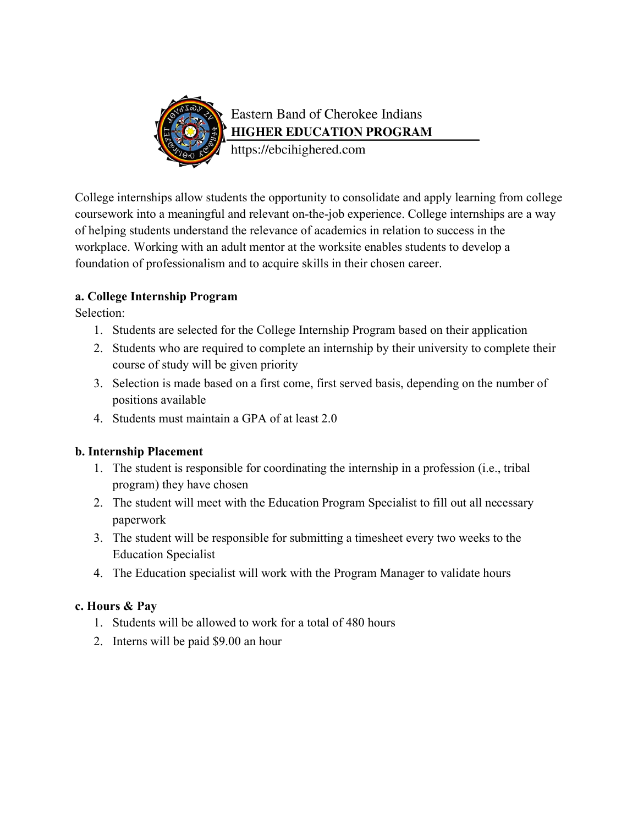

# Eastern Band of Cherokee Indians **HIGHER EDUCATION PROGRAM**

https://ebcihighered.com

College internships allow students the opportunity to consolidate and apply learning from college coursework into a meaningful and relevant on-the-job experience. College internships are a way of helping students understand the relevance of academics in relation to success in the workplace. Working with an adult mentor at the worksite enables students to develop a foundation of professionalism and to acquire skills in their chosen career.

#### **a. College Internship Program**

Selection:

- 1. Students are selected for the College Internship Program based on their application
- 2. Students who are required to complete an internship by their university to complete their course of study will be given priority
- 3. Selection is made based on a first come, first served basis, depending on the number of positions available
- 4. Students must maintain a GPA of at least 2.0

#### **b. Internship Placement**

- 1. The student is responsible for coordinating the internship in a profession (i.e., tribal program) they have chosen
- 2. The student will meet with the Education Program Specialist to fill out all necessary paperwork
- 3. The student will be responsible for submitting a timesheet every two weeks to the Education Specialist
- 4. The Education specialist will work with the Program Manager to validate hours

### **c. Hours & Pay**

- 1. Students will be allowed to work for a total of 480 hours
- 2. Interns will be paid \$9.00 an hour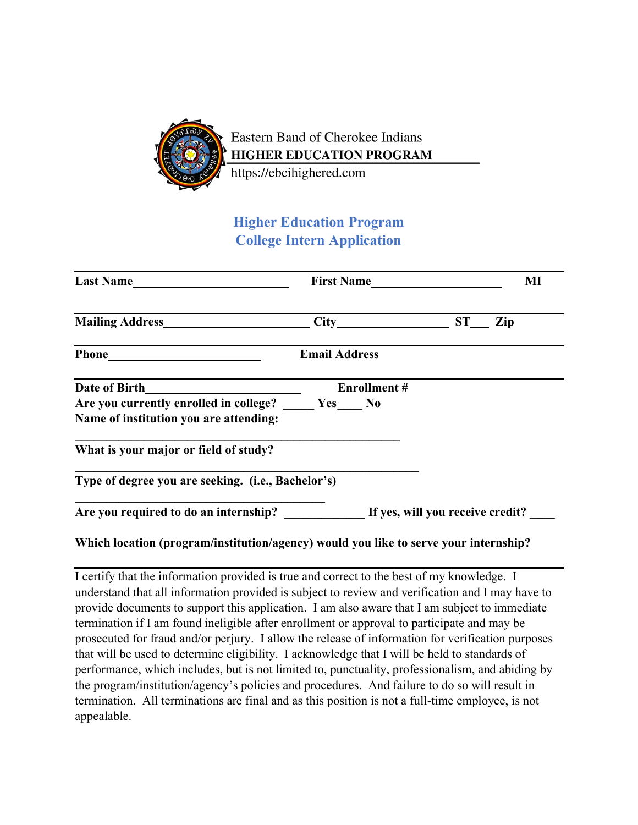

## **Higher Education Program College Intern Application**

| Last Name                                                                            | First Name           | MI        |
|--------------------------------------------------------------------------------------|----------------------|-----------|
| <b>Mailing Address</b> Mailing Address                                               |                      | ST<br>Zip |
|                                                                                      | <b>Email Address</b> |           |
|                                                                                      | <b>Enrollment#</b>   |           |
| Are you currently enrolled in college? Yes No                                        |                      |           |
| Name of institution you are attending:                                               |                      |           |
| What is your major or field of study?                                                |                      |           |
| Type of degree you are seeking. (i.e., Bachelor's)                                   |                      |           |
| Are you required to do an internship? If yes, will you receive credit?               |                      |           |
| Which location (program/institution/agency) would you like to serve your internship? |                      |           |

I certify that the information provided is true and correct to the best of my knowledge. I understand that all information provided is subject to review and verification and I may have to provide documents to support this application. I am also aware that I am subject to immediate termination if I am found ineligible after enrollment or approval to participate and may be prosecuted for fraud and/or perjury. I allow the release of information for verification purposes that will be used to determine eligibility. I acknowledge that I will be held to standards of performance, which includes, but is not limited to, punctuality, professionalism, and abiding by the program/institution/agency's policies and procedures. And failure to do so will result in termination. All terminations are final and as this position is not a full-time employee, is not appealable.